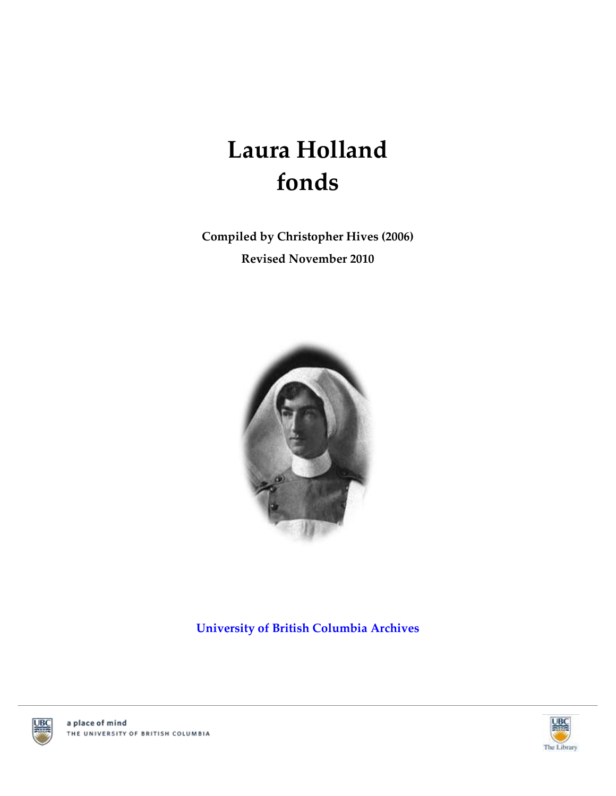# **Laura Holland fonds**

**Compiled by Christopher Hives (2006) Revised November 2010**



**[University of British Columbia Archives](http://www.library.ubc.ca/archives/)**





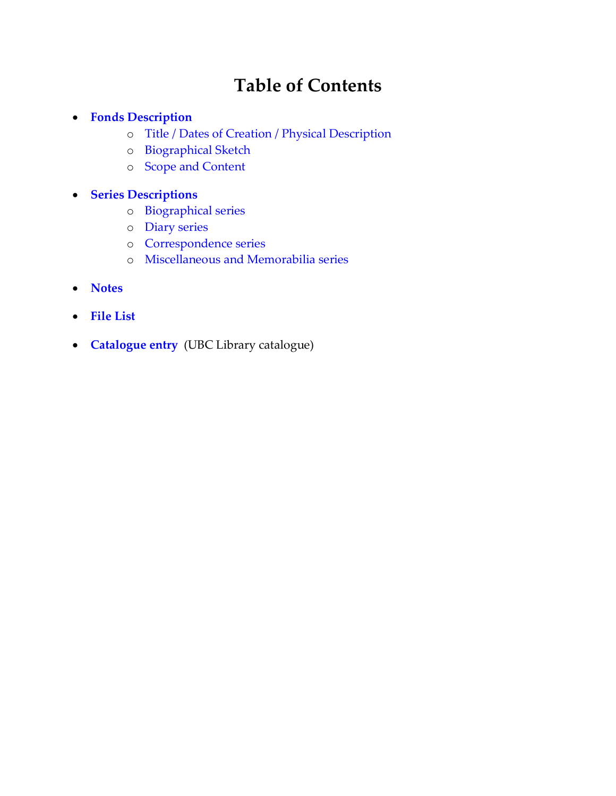## **Table of Contents**

### **[Fonds Description](#page-2-0)**

- o [Title / Dates of Creation / Physical Description](#page-2-1)
- o [Biographical Sketch](#page-2-2)
- o [Scope and Content](#page-3-0)

### **[Series Descriptions](#page-4-0)**

- o [Biographical series](#page-4-1)
- o [Diary series](#page-4-2)
- o [Correspondence series](#page-4-3)
- o [Miscellaneous and Memorabilia series](#page-4-4)
- **[Notes](#page-3-1)**
- **[File List](#page-5-0)**
- **[Catalogue entry](http://resolve.library.ubc.ca/cgi-bin/catsearch?title=Laura+Holland+fonds)** (UBC Library catalogue)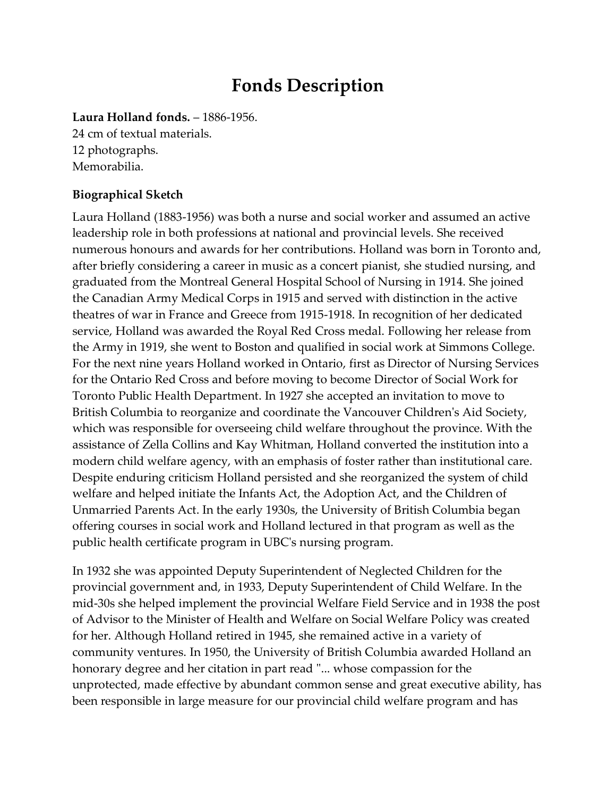### **Fonds Description**

<span id="page-2-1"></span><span id="page-2-0"></span>**Laura Holland fonds.** – 1886-1956.

24 cm of textual materials. 12 photographs. Memorabilia.

### <span id="page-2-2"></span>**Biographical Sketch**

Laura Holland (1883-1956) was both a nurse and social worker and assumed an active leadership role in both professions at national and provincial levels. She received numerous honours and awards for her contributions. Holland was born in Toronto and, after briefly considering a career in music as a concert pianist, she studied nursing, and graduated from the Montreal General Hospital School of Nursing in 1914. She joined the Canadian Army Medical Corps in 1915 and served with distinction in the active theatres of war in France and Greece from 1915-1918. In recognition of her dedicated service, Holland was awarded the Royal Red Cross medal. Following her release from the Army in 1919, she went to Boston and qualified in social work at Simmons College. For the next nine years Holland worked in Ontario, first as Director of Nursing Services for the Ontario Red Cross and before moving to become Director of Social Work for Toronto Public Health Department. In 1927 she accepted an invitation to move to British Columbia to reorganize and coordinate the Vancouver Children's Aid Society, which was responsible for overseeing child welfare throughout the province. With the assistance of Zella Collins and Kay Whitman, Holland converted the institution into a modern child welfare agency, with an emphasis of foster rather than institutional care. Despite enduring criticism Holland persisted and she reorganized the system of child welfare and helped initiate the Infants Act, the Adoption Act, and the Children of Unmarried Parents Act. In the early 1930s, the University of British Columbia began offering courses in social work and Holland lectured in that program as well as the public health certificate program in UBC's nursing program.

In 1932 she was appointed Deputy Superintendent of Neglected Children for the provincial government and, in 1933, Deputy Superintendent of Child Welfare. In the mid-30s she helped implement the provincial Welfare Field Service and in 1938 the post of Advisor to the Minister of Health and Welfare on Social Welfare Policy was created for her. Although Holland retired in 1945, she remained active in a variety of community ventures. In 1950, the University of British Columbia awarded Holland an honorary degree and her citation in part read "... whose compassion for the unprotected, made effective by abundant common sense and great executive ability, has been responsible in large measure for our provincial child welfare program and has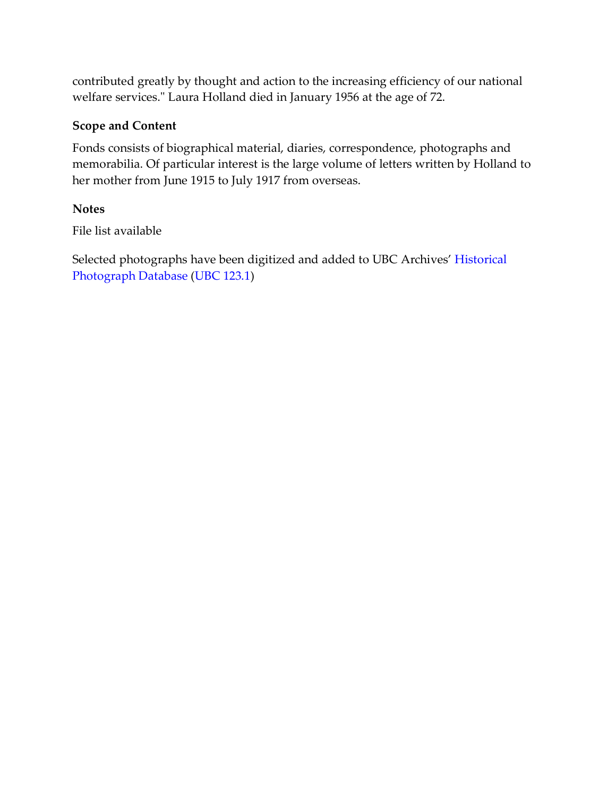contributed greatly by thought and action to the increasing efficiency of our national welfare services." Laura Holland died in January 1956 at the age of 72.

### <span id="page-3-0"></span>**Scope and Content**

Fonds consists of biographical material, diaries, correspondence, photographs and memorabilia. Of particular interest is the large volume of letters written by Holland to her mother from June 1915 to July 1917 from overseas.

### <span id="page-3-1"></span>**Notes**

File list available

Selected photographs have been digitized and added to UBC Archives' [Historical](http://digitalcollections.library.ubc.ca/cdm/landingpage/collection/arphotos)  [Photograph Database](http://digitalcollections.library.ubc.ca/cdm/landingpage/collection/arphotos) [\(UBC 123.1\)](http://digitalcollections.library.ubc.ca/cdm/search/collection/arphotos/searchterm/Laura%20Holland%20fonds/mode/exact)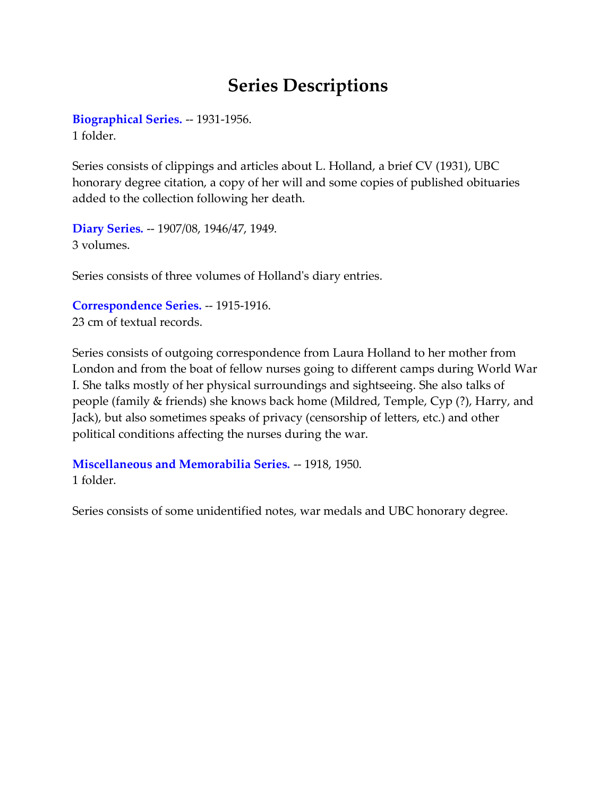### **Series Descriptions**

<span id="page-4-1"></span><span id="page-4-0"></span>**[Biographical Series.](#page-5-1)** -- 1931-1956. 1 folder.

Series consists of clippings and articles about L. Holland, a brief CV (1931), UBC honorary degree citation, a copy of her will and some copies of published obituaries added to the collection following her death.

<span id="page-4-2"></span>**[Diary Series.](#page-5-2)** -- 1907/08, 1946/47, 1949. 3 volumes.

Series consists of three volumes of Holland's diary entries.

<span id="page-4-3"></span>**[Correspondence Series.](#page-5-3)** -- 1915-1916. 23 cm of textual records.

Series consists of outgoing correspondence from Laura Holland to her mother from London and from the boat of fellow nurses going to different camps during World War I. She talks mostly of her physical surroundings and sightseeing. She also talks of people (family & friends) she knows back home (Mildred, Temple, Cyp (?), Harry, and Jack), but also sometimes speaks of privacy (censorship of letters, etc.) and other political conditions affecting the nurses during the war.

<span id="page-4-4"></span>**[Miscellaneous and Memorabilia Series.](#page-9-0)** -- 1918, 1950. 1 folder.

Series consists of some unidentified notes, war medals and UBC honorary degree.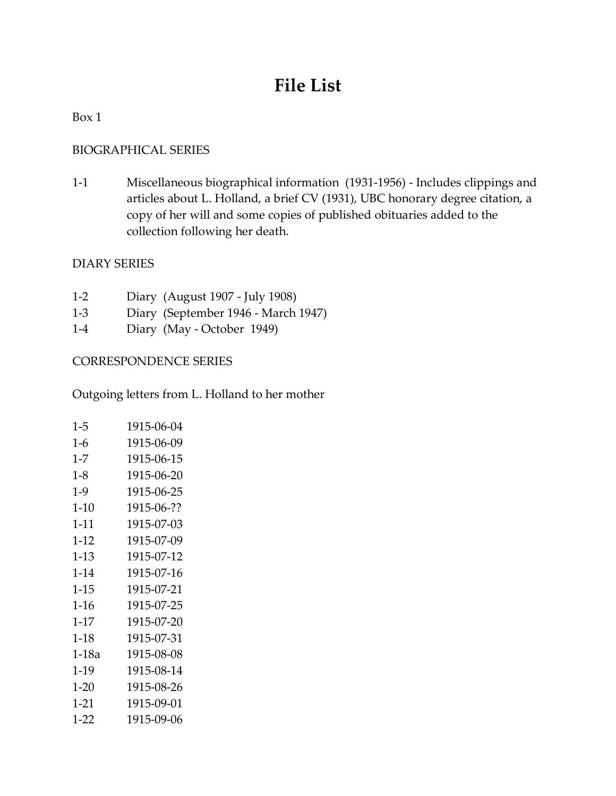## **File List**

#### <span id="page-5-0"></span>Box 1

### <span id="page-5-1"></span>BIOGRAPHICAL SERIES

1-1 Miscellaneous biographical information (1931-1956) - Includes clippings and articles about L. Holland, a brief CV (1931), UBC honorary degree citation, a copy of her will and some copies of published obituaries added to the collection following her death.

#### <span id="page-5-2"></span>DIARY SERIES

- 1-2 Diary (August 1907 July 1908)
- 1-3 Diary (September 1946 March 1947)
- 1-4 Diary (May October 1949)

### <span id="page-5-3"></span>CORRESPONDENCE SERIES

Outgoing letters from L. Holland to her mother

| $1 - 5$  | 1915-06-04 |
|----------|------------|
| $1-6$    | 1915-06-09 |
| $1 - 7$  | 1915-06-15 |
| $1-8$    | 1915-06-20 |
| $1-9$    | 1915-06-25 |
| 1-10     | 1915-06-?? |
| $1 - 11$ | 1915-07-03 |
| $1-12$   | 1915-07-09 |
| $1-13$   | 1915-07-12 |
| 1-14     | 1915-07-16 |
| $1 - 15$ | 1915-07-21 |
| $1-16$   | 1915-07-25 |
| $1-17$   | 1915-07-20 |
| $1-18$   | 1915-07-31 |
| 1-18a    | 1915-08-08 |
| 1-19     | 1915-08-14 |
| $1-20$   | 1915-08-26 |
| 1-21     | 1915-09-01 |
| 1-22     | 1915-09-06 |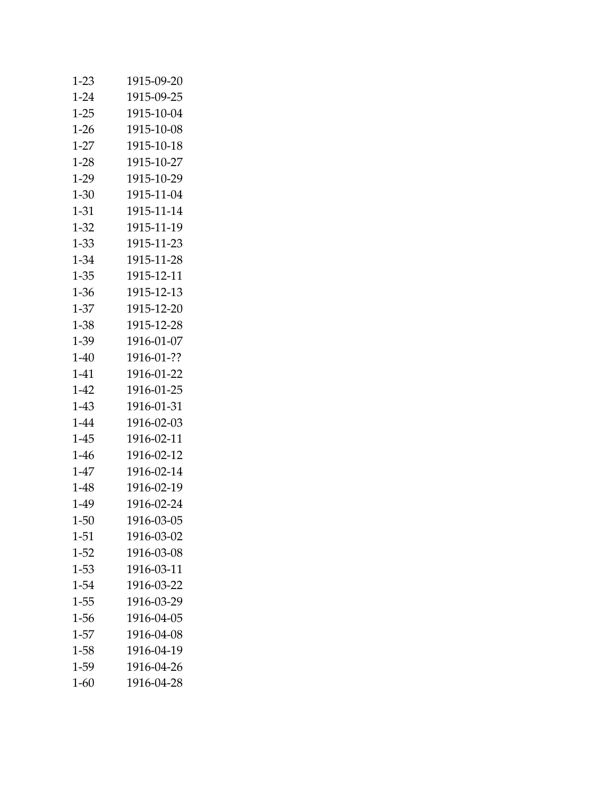| $1-23$   | 1915-09-20 |
|----------|------------|
| $1 - 24$ | 1915-09-25 |
| $1 - 25$ | 1915-10-04 |
| 1-26     | 1915-10-08 |
| $1-27$   | 1915-10-18 |
| $1-28$   | 1915-10-27 |
| 1-29     | 1915-10-29 |
| 1-30     | 1915-11-04 |
| 1-31     | 1915-11-14 |
| $1 - 32$ | 1915-11-19 |
| 1-33     | 1915-11-23 |
| $1 - 34$ | 1915-11-28 |
| $1 - 35$ | 1915-12-11 |
| 1-36     | 1915-12-13 |
| $1-37$   | 1915-12-20 |
| $1 - 38$ | 1915-12-28 |
| 1-39     | 1916-01-07 |
| $1-40$   | 1916-01-?? |
| 1-41     | 1916-01-22 |
| 1-42     | 1916-01-25 |
| 1-43     | 1916-01-31 |
| $1 - 44$ | 1916-02-03 |
| $1-45$   | 1916-02-11 |
| 1-46     | 1916-02-12 |
| $1-47$   | 1916-02-14 |
| 1-48     | 1916-02-19 |
| 1-49     | 1916-02-24 |
| $1 - 50$ | 1916-03-05 |
| 1-51     | 1916-03-02 |
| $1-52$   | 1916-03-08 |
| 1-53     | 1916-03-11 |
| $1 - 54$ | 1916-03-22 |
| $1 - 55$ | 1916-03-29 |
| 1-56     | 1916-04-05 |
| $1-57$   | 1916-04-08 |
| $1 - 58$ | 1916-04-19 |
| 1-59     | 1916-04-26 |
| $1 - 60$ | 1916-04-28 |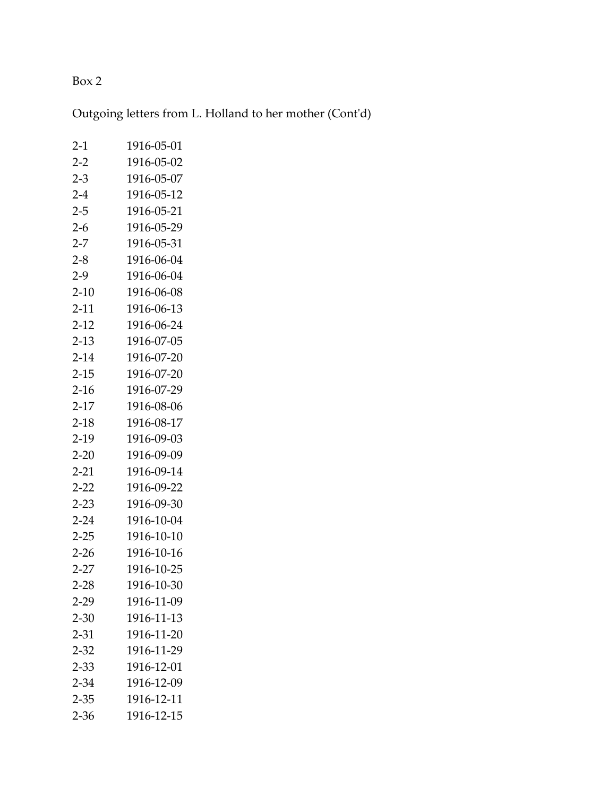### Box 2

Outgoing letters from L. Holland to her mother (Cont'd)

| $2-1$    | 1916-05-01 |
|----------|------------|
| $2-2$    | 1916-05-02 |
| $2 - 3$  | 1916-05-07 |
| $2 - 4$  | 1916-05-12 |
| $2 - 5$  | 1916-05-21 |
| $2 - 6$  | 1916-05-29 |
| $2 - 7$  | 1916-05-31 |
| $2 - 8$  | 1916-06-04 |
| $2-9$    | 1916-06-04 |
| $2-10$   | 1916-06-08 |
| $2 - 11$ | 1916-06-13 |
| $2 - 12$ | 1916-06-24 |
| $2-13$   | 1916-07-05 |
| $2 - 14$ | 1916-07-20 |
| $2 - 15$ | 1916-07-20 |
| $2-16$   | 1916-07-29 |
| $2-17$   | 1916-08-06 |
| $2 - 18$ | 1916-08-17 |
| $2-19$   | 1916-09-03 |
| $2 - 20$ | 1916-09-09 |
| $2 - 21$ | 1916-09-14 |
| $2 - 22$ | 1916-09-22 |
| $2 - 23$ | 1916-09-30 |
| $2 - 24$ | 1916-10-04 |
| $2 - 25$ | 1916-10-10 |
| $2 - 26$ | 1916-10-16 |
| $2 - 27$ | 1916-10-25 |
| $2 - 28$ | 1916-10-30 |
| $2 - 29$ | 1916-11-09 |
| $2 - 30$ | 1916-11-13 |
| $2 - 31$ | 1916-11-20 |
| $2 - 32$ | 1916-11-29 |
| $2 - 33$ | 1916-12-01 |
| $2 - 34$ | 1916-12-09 |
| $2 - 35$ | 1916-12-11 |
| $2 - 36$ | 1916-12-15 |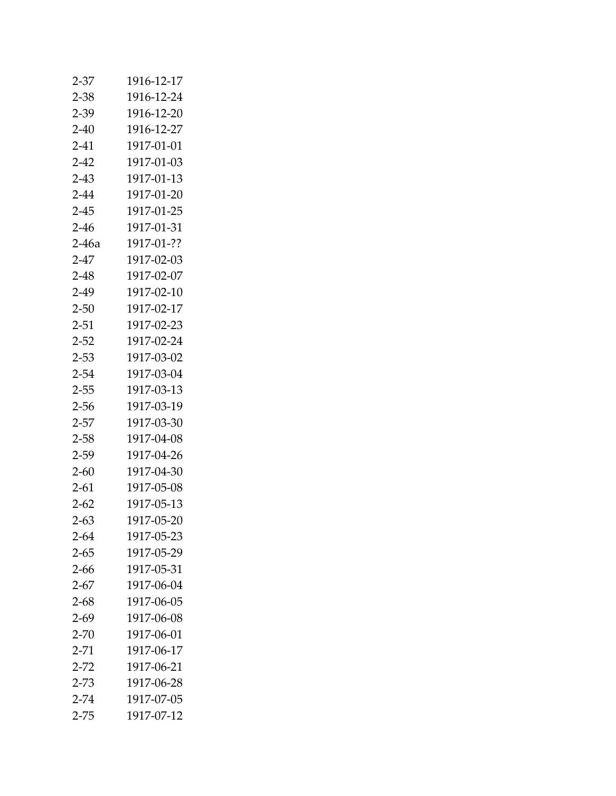| $2 - 37$ | 1916-12-17 |
|----------|------------|
| $2 - 38$ | 1916-12-24 |
| 2-39     | 1916-12-20 |
| 2-40     | 1916-12-27 |
| $2 - 41$ | 1917-01-01 |
| $2-42$   | 1917-01-03 |
| $2 - 43$ | 1917-01-13 |
| $2 - 44$ | 1917-01-20 |
| $2 - 45$ | 1917-01-25 |
| $2 - 46$ | 1917-01-31 |
| 2-46a    | 1917-01-?? |
| $2 - 47$ | 1917-02-03 |
| $2 - 48$ | 1917-02-07 |
| $2-49$   | 1917-02-10 |
| $2 - 50$ | 1917-02-17 |
| $2 - 51$ | 1917-02-23 |
| $2 - 52$ | 1917-02-24 |
| $2 - 53$ | 1917-03-02 |
| $2 - 54$ | 1917-03-04 |
| $2 - 55$ | 1917-03-13 |
| 2-56     | 1917-03-19 |
| $2 - 57$ | 1917-03-30 |
| $2 - 58$ | 1917-04-08 |
| $2 - 59$ | 1917-04-26 |
| $2 - 60$ | 1917-04-30 |
| $2 - 61$ | 1917-05-08 |
| $2 - 62$ | 1917-05-13 |
| $2 - 63$ | 1917-05-20 |
| $2 - 64$ | 1917-05-23 |
| $2 - 65$ | 1917-05-29 |
| $2 - 66$ | 1917-05-31 |
| $2 - 67$ | 1917-06-04 |
| $2 - 68$ | 1917-06-05 |
| $2 - 69$ | 1917-06-08 |
| $2 - 70$ | 1917-06-01 |
| $2 - 71$ | 1917-06-17 |
| $2 - 72$ | 1917-06-21 |
| $2 - 73$ | 1917-06-28 |
| $2 - 74$ | 1917-07-05 |
| $2 - 75$ | 1917-07-12 |